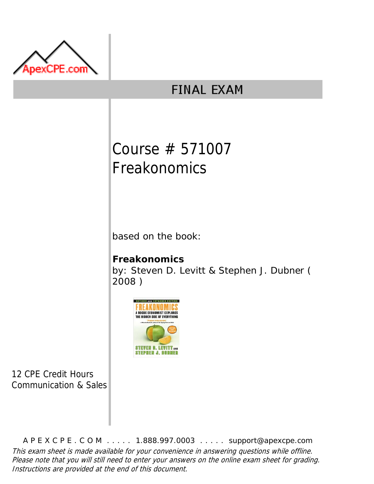

## **FINAL EXAM**

# Course # 571007 Freakonomics

based on the book:

### **Freakonomics** by: Steven D. Levitt & Stephen J. Dubner ( 2008 )



12 CPE Credit Hours Communication & Sales

A P E X C P E . C O M . . . . . 1.888.997.0003 . . . . . support@apexcpe.com This exam sheet is made available for your convenience in answering questions while offline. Please note that you will still need to enter your answers on the online exam sheet for grading. Instructions are provided at the end of this document.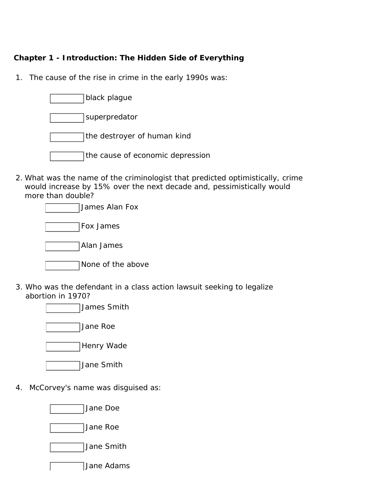#### **Chapter 1 - Introduction: The Hidden Side of Everything**

1. The cause of the rise in crime in the early 1990s was:



2. What was the name of the criminologist that predicted optimistically, crime would increase by 15% over the next decade and, pessimistically would more than double?

3. Who was the defendant in a class action lawsuit seeking to legalize abortion in 1970?

James Smith

Jane Roe

Henry Wade

- Jane Smith
- 4. McCorvey's name was disguised as:

Jane Doe

Jane Roe

Jane Smith

Jane Adams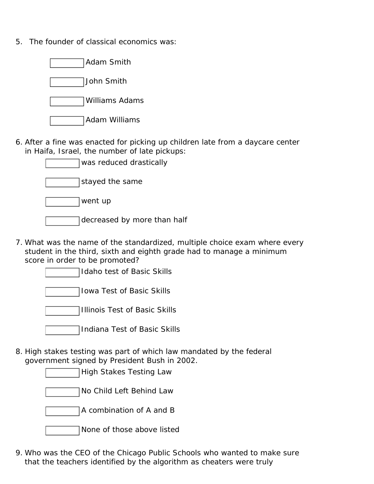5. The founder of classical economics was:



6. After a fine was enacted for picking up children late from a daycare center in Haifa, Israel, the number of late pickups:

| was reduced drastically     |
|-----------------------------|
| stayed the same             |
| went up                     |
| decreased by more than half |
|                             |

7. What was the name of the standardized, multiple choice exam where every student in the third, sixth and eighth grade had to manage a minimum score in order to be promoted?

Idaho test of Basic Skills

Iowa Test of Basic Skills

Illinois Test of Basic Skills

Indiana Test of Basic Skills

8. High stakes testing was part of which law mandated by the federal government signed by President Bush in 2002.

High Stakes Testing Law

No Child Left Behind Law

A combination of A and B

None of those above listed

9. Who was the CEO of the Chicago Public Schools who wanted to make sure that the teachers identified by the algorithm as cheaters were truly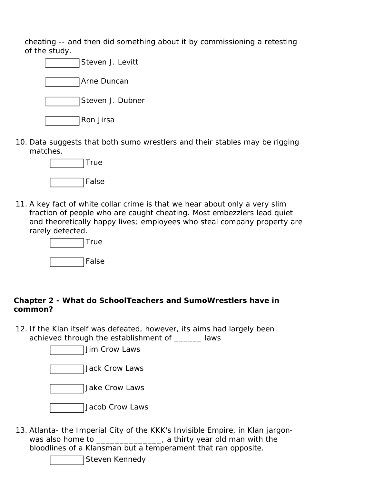cheating -- and then did something about it by commissioning a retesting of the study.



10. Data suggests that both sumo wrestlers and their stables may be rigging matches.



11. A key fact of white collar crime is that we hear about only a very slim fraction of people who are caught cheating. Most embezzlers lead quiet and theoretically happy lives; employees who steal company property are rarely detected.



#### **Chapter 2 - What do SchoolTeachers and SumoWrestlers have in common?**

12. If the Klan itself was defeated, however, its aims had largely been achieved through the establishment of \_\_\_\_\_\_ laws

Jim Crow Laws

Jack Crow Laws

Jake Crow Laws

- Jacob Crow Laws
- 13. Atlanta- the Imperial City of the KKK's Invisible Empire, in Klan jargonwas also home to \_\_\_\_\_\_\_\_\_\_\_\_\_\_, a thirty year old man with the bloodlines of a Klansman but a temperament that ran opposite.

Steven Kennedy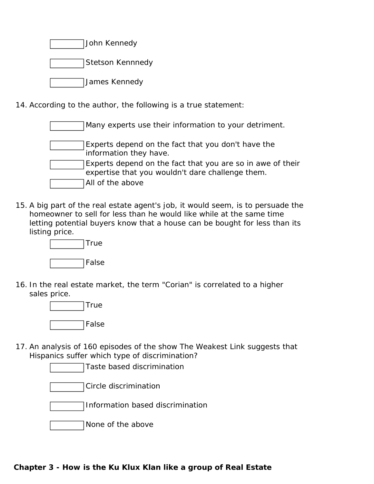| John Kennedy |
|--------------|
|              |

Stetson Kennnedy

James Kennedy

14. According to the author, the following is a true statement:

| Many experts use their information to your detriment.                                                          |
|----------------------------------------------------------------------------------------------------------------|
| Experts depend on the fact that you don't have the<br>information they have.                                   |
| Experts depend on the fact that you are so in awe of their<br>expertise that you wouldn't dare challenge them. |
| All of the above                                                                                               |

15. A big part of the real estate agent's job, it would seem, is to persuade the homeowner to sell for less than he would like while at the same time letting potential buyers know that a house can be bought for less than its listing price.



16. In the real estate market, the term "Corian" is correlated to a higher sales price.



17. An analysis of 160 episodes of the show The Weakest Link suggests that Hispanics suffer which type of discrimination?

Taste based discrimination Circle discrimination Information based discrimination None of the above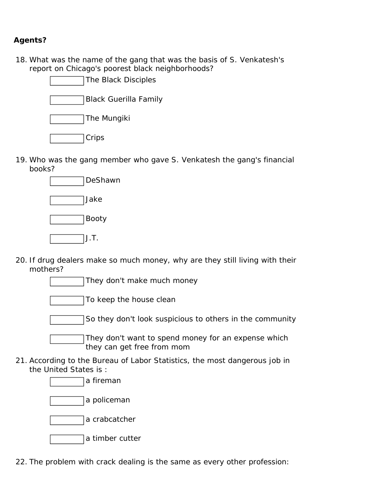#### **Agents?**

18. What was the name of the gang that was the basis of S. Venkatesh's report on Chicago's poorest black neighborhoods?

| The Black Disciples |
|---------------------|
|---------------------|

Black Guerilla Family

The Mungiki

**Crips** 

19. Who was the gang member who gave S. Venkatesh the gang's financial books?



- 20. If drug dealers make so much money, why are they still living with their mothers?
	- They don't make much money To keep the house clean So they don't look suspicious to others in the community They don't want to spend money for an expense which they can get free from mom
- 21. According to the Bureau of Labor Statistics, the most dangerous job in the United States is :

a fireman

a policeman



- a timber cutter
- 22. The problem with crack dealing is the same as every other profession: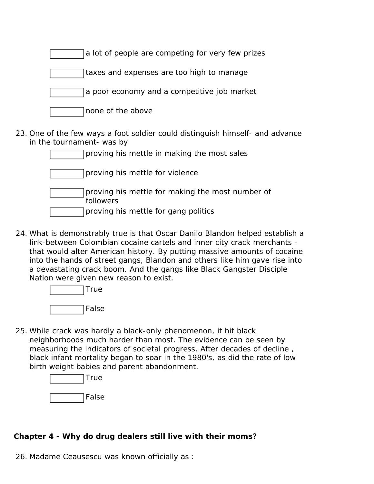| a lot of people are competing for very few prizes |  |
|---------------------------------------------------|--|
| taxes and expenses are too high to manage         |  |
| a poor economy and a competitive job market       |  |
| none of the above                                 |  |

23. One of the few ways a foot soldier could distinguish himself- and advance in the tournament- was by

| proving his mettle in making the most sales                                                           |
|-------------------------------------------------------------------------------------------------------|
| proving his mettle for violence                                                                       |
| proving his mettle for making the most number of<br>followers<br>proving his mettle for gang politics |

24. What is demonstrably true is that Oscar Danilo Blandon helped establish a link-between Colombian cocaine cartels and inner city crack merchants that would alter American history. By putting massive amounts of cocaine into the hands of street gangs, Blandon and others like him gave rise into a devastating crack boom. And the gangs like Black Gangster Disciple Nation were given new reason to exist.

> True False

25. While crack was hardly a black-only phenomenon, it hit black neighborhoods much harder than most. The evidence can be seen by measuring the indicators of societal progress. After decades of decline , black infant mortality began to soar in the 1980's, as did the rate of low birth weight babies and parent abandonment.

| True  |
|-------|
| False |

#### **Chapter 4 - Why do drug dealers still live with their moms?**

26. Madame Ceausescu was known officially as :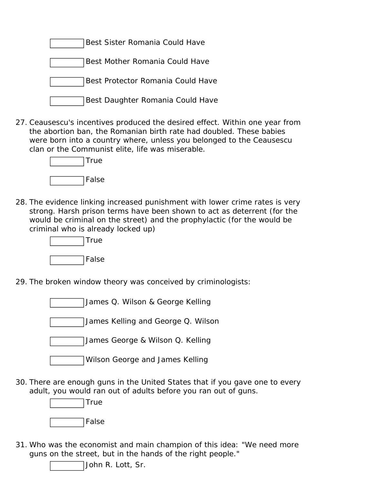

27. Ceausescu's incentives produced the desired effect. Within one year from the abortion ban, the Romanian birth rate had doubled. These babies were born into a country where, unless you belonged to the Ceausescu clan or the Communist elite, life was miserable.



28. The evidence linking increased punishment with lower crime rates is very strong. Harsh prison terms have been shown to act as deterrent (for the would be criminal on the street) and the prophylactic (for the would be criminal who is already locked up)



- 29. The broken window theory was conceived by criminologists:
	- James Q. Wilson & George Kelling

James Kelling and George Q. Wilson

James George & Wilson Q. Kelling

Wilson George and James Kelling

30. There are enough guns in the United States that if you gave one to every adult, you would ran out of adults before you ran out of guns.



31. Who was the economist and main champion of this idea: "We need more guns on the street, but in the hands of the right people."

John R. Lott, Sr.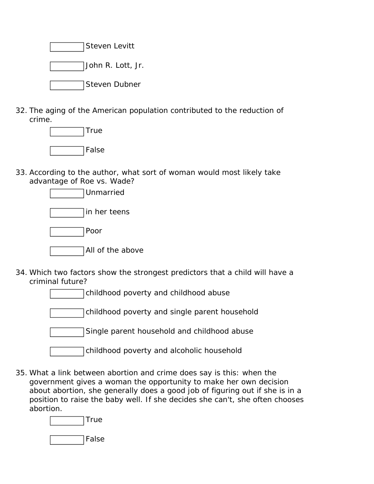Steven Levitt John R. Lott, Jr. Steven Dubner

32. The aging of the American population contributed to the reduction of crime.



33. According to the author, what sort of woman would most likely take advantage of Roe vs. Wade?



- 34. Which two factors show the strongest predictors that a child will have a criminal future?
	- childhood poverty and childhood abuse childhood poverty and single parent household Single parent household and childhood abuse childhood poverty and alcoholic household
- 35. What a link between abortion and crime does say is this: when the government gives a woman the opportunity to make her own decision about abortion, she generally does a good job of figuring out if she is in a position to raise the baby well. If she decides she can't, she often chooses abortion.

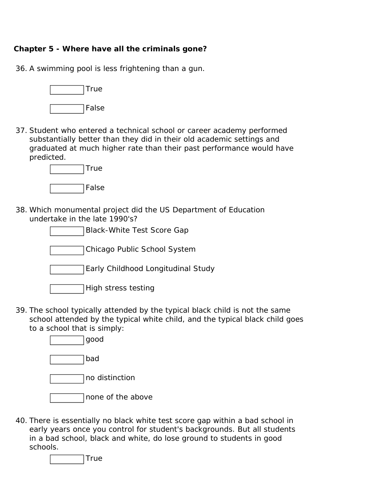#### **Chapter 5 - Where have all the criminals gone?**

36. A swimming pool is less frightening than a gun.



37. Student who entered a technical school or career academy performed substantially better than they did in their old academic settings and graduated at much higher rate than their past performance would have predicted.



38. Which monumental project did the US Department of Education undertake in the late 1990's?



- High stress testing
- 39. The school typically attended by the typical black child is not the same school attended by the typical white child, and the typical black child goes to a school that is simply:
	- good bad no distinction none of the above
- 40. There is essentially no black white test score gap within a bad school in early years once you control for student's backgrounds. But all students in a bad school, black and white, do lose ground to students in good schools.

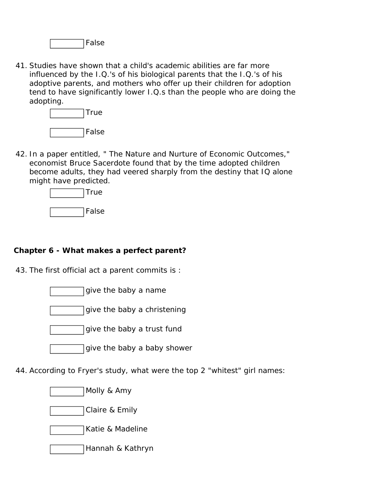False

41. Studies have shown that a child's academic abilities are far more influenced by the I.Q.'s of his biological parents that the I.Q.'s of his adoptive parents, and mothers who offer up their children for adoption tend to have significantly lower I.Q.s than the people who are doing the adopting.



42. In a paper entitled, " The Nature and Nurture of Economic Outcomes," economist Bruce Sacerdote found that by the time adopted children become adults, they had veered sharply from the destiny that IQ alone might have predicted.



#### **Chapter 6 - What makes a perfect parent?**

43. The first official act a parent commits is :

- give the baby a name
- give the baby a christening
- give the baby a trust fund
- give the baby a baby shower
- 44. According to Fryer's study, what were the top 2 "whitest" girl names:
	- Molly & Amy





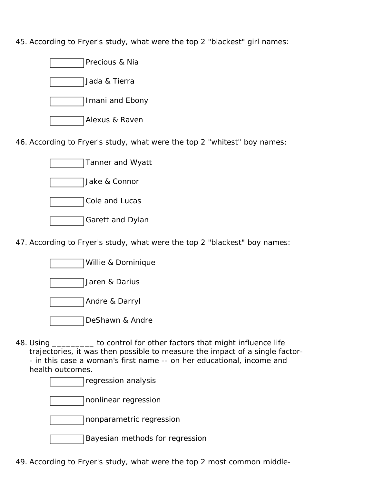45. According to Fryer's study, what were the top 2 "blackest" girl names:



46. According to Fryer's study, what were the top 2 "whitest" boy names:



47. According to Fryer's study, what were the top 2 "blackest" boy names:

| Willie & Dominique |
|--------------------|
|--------------------|

Jaren & Darius

Andre & Darryl

DeShawn & Andre

48. Using \_\_\_\_\_\_\_\_\_ to control for other factors that might influence life trajectories, it was then possible to measure the impact of a single factor- - in this case a woman's first name -- on her educational, income and health outcomes.

regression analysis

nonlinear regression

nonparametric regression

Bayesian methods for regression

49. According to Fryer's study, what were the top 2 most common middle-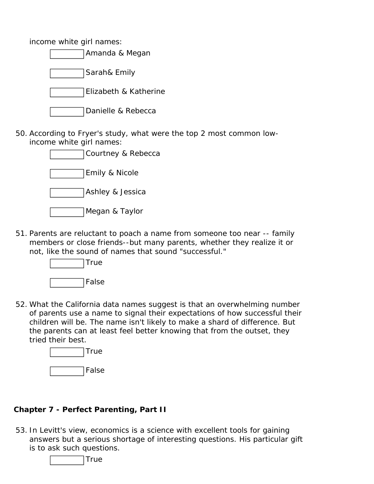income white girl names:

| Amanda & Megan        |  |
|-----------------------|--|
| Sarah& Emily          |  |
| Elizabeth & Katherine |  |
| Danielle & Rebecca    |  |

50. According to Fryer's study, what were the top 2 most common lowincome white girl names:

| Courtney & Rebecca |
|--------------------|
| Emily & Nicole     |
| Ashley & Jessica   |
| Megan & Taylor     |

51. Parents are reluctant to poach a name from someone too near -- family members or close friends--but many parents, whether they realize it or not, like the sound of names that sound "successful."



52. What the California data names suggest is that an overwhelming number of parents use a name to signal their expectations of how successful their children will be. The name isn't likely to make a shard of difference. But the parents can at least feel better knowing that from the outset, they tried their best.



#### **Chapter 7 - Perfect Parenting, Part II**

53. In Levitt's view, economics is a science with excellent tools for gaining answers but a serious shortage of interesting questions. His particular gift is to ask such questions.

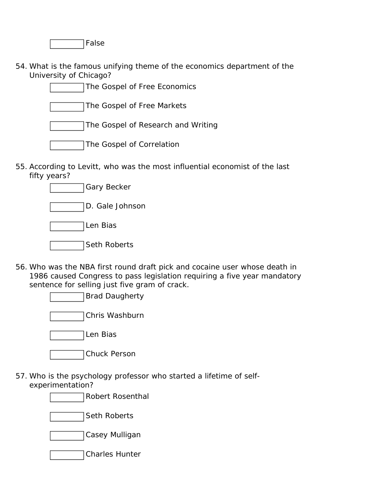False

54. What is the famous unifying theme of the economics department of the University of Chicago?

| The Gospel of Free Economics       |
|------------------------------------|
| The Gospel of Free Markets         |
| The Gospel of Research and Writing |
| The Gospel of Correlation          |

55. According to Levitt, who was the most influential economist of the last fifty years?



- 56. Who was the NBA first round draft pick and cocaine user whose death in 1986 caused Congress to pass legislation requiring a five year mandatory sentence for selling just five gram of crack.
	- Brad Daugherty
	- Chris Washburn

Len Bias

| Chuck Person |
|--------------|
|--------------|

57. Who is the psychology professor who started a lifetime of selfexperimentation?

Robert Rosenthal

Seth Roberts

Casey Mulligan

Charles Hunter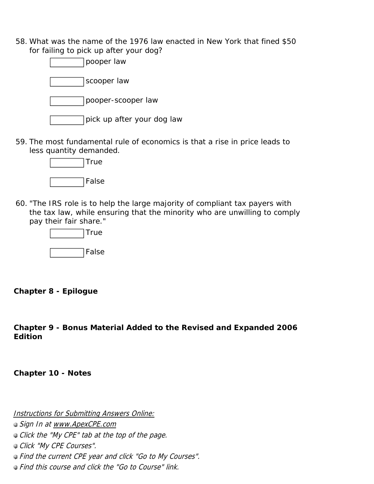58. What was the name of the 1976 law enacted in New York that fined \$50 for failing to pick up after your dog?



59. The most fundamental rule of economics is that a rise in price leads to less quantity demanded.



60. "The IRS role is to help the large majority of compliant tax payers with the tax law, while ensuring that the minority who are unwilling to comply pay their fair share."



**Chapter 8 - Epilogue** 

**Chapter 9 - Bonus Material Added to the Revised and Expanded 2006 Edition** 

**Chapter 10 - Notes** 

Instructions for Submitting Answers Online:

● Sign In at www.ApexCPE.com

Click the "My CPE" tab at the top of the page.

Click "My CPE Courses".

Find the current CPE year and click "Go to My Courses".

Find this course and click the "Go to Course" link.